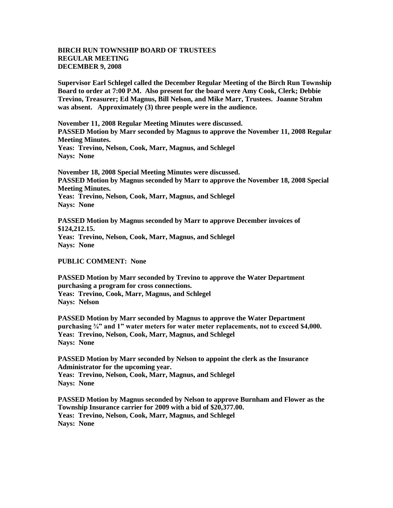## **BIRCH RUN TOWNSHIP BOARD OF TRUSTEES REGULAR MEETING DECEMBER 9, 2008**

**Supervisor Earl Schlegel called the December Regular Meeting of the Birch Run Township Board to order at 7:00 P.M. Also present for the board were Amy Cook, Clerk; Debbie Trevino, Treasurer; Ed Magnus, Bill Nelson, and Mike Marr, Trustees. Joanne Strahm was absent. Approximately (3) three people were in the audience.** 

**November 11, 2008 Regular Meeting Minutes were discussed. PASSED Motion by Marr seconded by Magnus to approve the November 11, 2008 Regular Meeting Minutes. Yeas: Trevino, Nelson, Cook, Marr, Magnus, and Schlegel**

**Nays: None** 

**November 18, 2008 Special Meeting Minutes were discussed. PASSED Motion by Magnus seconded by Marr to approve the November 18, 2008 Special Meeting Minutes. Yeas: Trevino, Nelson, Cook, Marr, Magnus, and Schlegel Nays: None**

**PASSED Motion by Magnus seconded by Marr to approve December invoices of \$124,212.15. Yeas: Trevino, Nelson, Cook, Marr, Magnus, and Schlegel Nays: None**

**PUBLIC COMMENT: None**

**PASSED Motion by Marr seconded by Trevino to approve the Water Department purchasing a program for cross connections. Yeas: Trevino, Cook, Marr, Magnus, and Schlegel Nays: Nelson**

**PASSED Motion by Marr seconded by Magnus to approve the Water Department purchasing ¾" and 1" water meters for water meter replacements, not to exceed \$4,000. Yeas: Trevino, Nelson, Cook, Marr, Magnus, and Schlegel Nays: None**

**PASSED Motion by Marr seconded by Nelson to appoint the clerk as the Insurance Administrator for the upcoming year. Yeas: Trevino, Nelson, Cook, Marr, Magnus, and Schlegel Nays: None**

**PASSED Motion by Magnus seconded by Nelson to approve Burnham and Flower as the Township Insurance carrier for 2009 with a bid of \$20,377.00. Yeas: Trevino, Nelson, Cook, Marr, Magnus, and Schlegel Nays: None**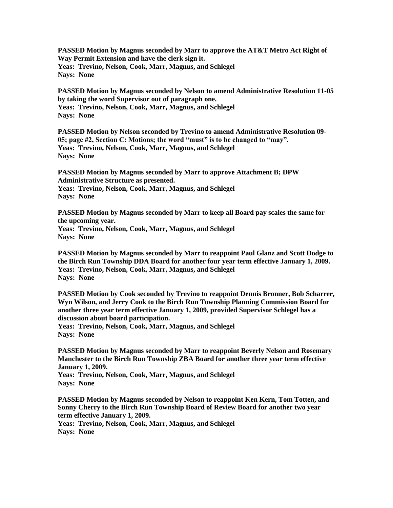**PASSED Motion by Magnus seconded by Marr to approve the AT&T Metro Act Right of Way Permit Extension and have the clerk sign it. Yeas: Trevino, Nelson, Cook, Marr, Magnus, and Schlegel Nays: None**

**PASSED Motion by Magnus seconded by Nelson to amend Administrative Resolution 11-05 by taking the word Supervisor out of paragraph one. Yeas: Trevino, Nelson, Cook, Marr, Magnus, and Schlegel Nays: None**

**PASSED Motion by Nelson seconded by Trevino to amend Administrative Resolution 09- 05; page #2, Section C: Motions; the word "must" is to be changed to "may". Yeas: Trevino, Nelson, Cook, Marr, Magnus, and Schlegel Nays: None**

**PASSED Motion by Magnus seconded by Marr to approve Attachment B; DPW Administrative Structure as presented. Yeas: Trevino, Nelson, Cook, Marr, Magnus, and Schlegel Nays: None**

**PASSED Motion by Magnus seconded by Marr to keep all Board pay scales the same for the upcoming year. Yeas: Trevino, Nelson, Cook, Marr, Magnus, and Schlegel Nays: None**

**PASSED Motion by Magnus seconded by Marr to reappoint Paul Glanz and Scott Dodge to the Birch Run Township DDA Board for another four year term effective January 1, 2009. Yeas: Trevino, Nelson, Cook, Marr, Magnus, and Schlegel Nays: None**

**PASSED Motion by Cook seconded by Trevino to reappoint Dennis Bronner, Bob Scharrer, Wyn Wilson, and Jerry Cook to the Birch Run Township Planning Commission Board for another three year term effective January 1, 2009, provided Supervisor Schlegel has a discussion about board participation.**

**Yeas: Trevino, Nelson, Cook, Marr, Magnus, and Schlegel Nays: None**

**PASSED Motion by Magnus seconded by Marr to reappoint Beverly Nelson and Rosemary Manchester to the Birch Run Township ZBA Board for another three year term effective January 1, 2009.**

**Yeas: Trevino, Nelson, Cook, Marr, Magnus, and Schlegel Nays: None**

**PASSED Motion by Magnus seconded by Nelson to reappoint Ken Kern, Tom Totten, and Sonny Cherry to the Birch Run Township Board of Review Board for another two year term effective January 1, 2009.**

**Yeas: Trevino, Nelson, Cook, Marr, Magnus, and Schlegel Nays: None**